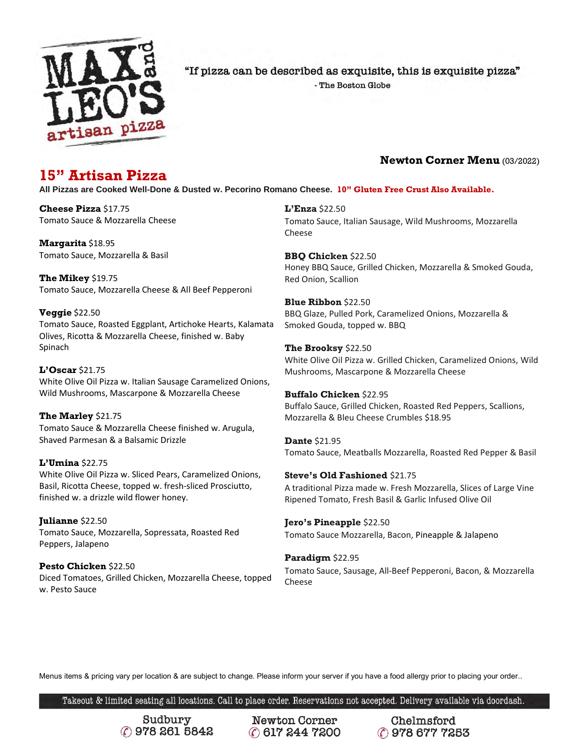

"If pizza can be described as exquisite, this is exquisite pizza"

- The Boston Globe

### **Newton Corner Menu** (03/2022)

## **15" Artisan Pizza**

**All Pizzas are Cooked Well-Done & Dusted w. Pecorino Romano Cheese. 10" Gluten Free Crust Also Available.**

**Cheese Pizza** \$17.75 Tomato Sauce & Mozzarella Cheese

**Margarita** \$18.95 Tomato Sauce, Mozzarella & Basil

**The Mikey** \$19.75 Tomato Sauce, Mozzarella Cheese & All Beef Pepperoni

### **Veggie** \$22.50

Tomato Sauce, Roasted Eggplant, Artichoke Hearts, Kalamata Olives, Ricotta & Mozzarella Cheese, finished w. Baby Spinach

### **L'Oscar** \$21.75

White Olive Oil Pizza w. Italian Sausage Caramelized Onions, Wild Mushrooms, Mascarpone & Mozzarella Cheese

**The Marley** \$21.75 Tomato Sauce & Mozzarella Cheese finished w. Arugula, Shaved Parmesan & a Balsamic Drizzle

**L'Umina** \$22.75 White Olive Oil Pizza w. Sliced Pears, Caramelized Onions, Basil, Ricotta Cheese, topped w. fresh-sliced Prosciutto,

finished w. a drizzle wild flower honey.

**Julianne** \$22.50 Tomato Sauce, Mozzarella, Sopressata, Roasted Red Peppers, Jalapeno

**Pesto Chicken** \$22.50 Diced Tomatoes, Grilled Chicken, Mozzarella Cheese, topped w. Pesto Sauce

**L'Enza** \$22.50 Tomato Sauce, Italian Sausage, Wild Mushrooms, Mozzarella Cheese

**BBQ Chicken** \$22.50 Honey BBQ Sauce, Grilled Chicken, Mozzarella & Smoked Gouda, Red Onion, Scallion

**Blue Ribbon** \$22.50 BBQ Glaze, Pulled Pork, Caramelized Onions, Mozzarella & Smoked Gouda, topped w. BBQ

**The Brooksy** \$22.50 White Olive Oil Pizza w. Grilled Chicken, Caramelized Onions, Wild Mushrooms, Mascarpone & Mozzarella Cheese

**Buffalo Chicken** \$22.95 Buffalo Sauce, Grilled Chicken, Roasted Red Peppers, Scallions, Mozzarella & Bleu Cheese Crumbles \$18.95

**Dante** \$21.95 Tomato Sauce, Meatballs Mozzarella, Roasted Red Pepper & Basil

**Steve's Old Fashioned** \$21.75 A traditional Pizza made w. Fresh Mozzarella, Slices of Large Vine Ripened Tomato, Fresh Basil & Garlic Infused Olive Oil

**Jero's Pineapple** \$22.50 Tomato Sauce Mozzarella, Bacon, Pineapple & Jalapeno

**Paradigm** \$22.95 Tomato Sauce, Sausage, All-Beef Pepperoni, Bacon, & Mozzarella Cheese

Menus items & pricing vary per location & are subject to change. Please inform your server if you have a food allergy prior to placing your order..

Takeout & limited seating all locations. Call to place order. Reservations not accepted. Delivery available via doordash.

Sudbury C 978 261 5842

**Newton Corner** (?) 617 244 7200

Chelmsford C 978 677 7253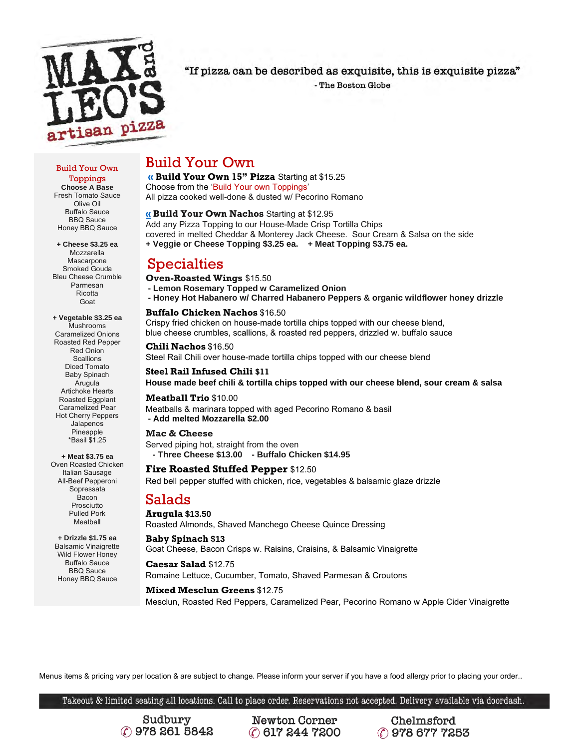

"If pizza can be described as exquisite, this is exquisite pizza"

- The Boston Globe

#### Build Your Own

Toppings **Choose A Base** Fresh Tomato Sauce Olive Oil Buffalo Sauce BBQ Sauce Honey BBQ Sauce

**+ Cheese \$3.25 ea** Mozzarella **Mascarpone** Smoked Gouda Bleu Cheese Crumble Parmesan Ricotta Goat

**+ Vegetable \$3.25 ea** Mushrooms Caramelized Onions Roasted Red Pepper Red Onion **Scallions** Diced Tomato Baby Spinach Arugula Artichoke Hearts Roasted Eggplant Caramelized Pear Hot Cherry Peppers Jalapenos Pineapple \*Basil \$1.25

**+ Meat \$3.75 ea** Oven Roasted Chicken Italian Sausage All-Beef Pepperoni Sopressata Bacon **Prosciutto** Pulled Pork Meatball

**+ Drizzle \$1.75 ea** Balsamic Vinaigrette Wild Flower Honey Buffalo Sauce BBQ Sauce Honey BBQ Sauce

## Build Your Own

**[«](https://www.toptal.com/designers/htmlarrows/punctuation/double-left-pointing-angle-quotation-mark/) Build Your Own 15" Pizza** Starting at \$15.25

Choose from the 'Build Your own Toppings' All pizza cooked well-done & dusted w/ Pecorino Romano

#### **[«](https://www.toptal.com/designers/htmlarrows/punctuation/double-left-pointing-angle-quotation-mark/) Build Your Own Nachos** Starting at \$12.95

Add any Pizza Topping to our House-Made Crisp Tortilla Chips covered in melted Cheddar & Monterey Jack Cheese. Sour Cream & Salsa on the side **+ Veggie or Cheese Topping \$3.25 ea. + Meat Topping \$3.75 ea.** 

## Specialties

**Oven-Roasted Wings** \$15.50

**- Lemon Rosemary Topped w Caramelized Onion - Honey Hot Habanero w/ Charred Habanero Peppers & organic wildflower honey drizzle** 

#### **Buffalo Chicken Nachos** \$16.50

Crispy fried chicken on house-made tortilla chips topped with our cheese blend, blue cheese crumbles, scallions, & roasted red peppers, drizzled w. buffalo sauce

**Chili Nachos** \$16.50 Steel Rail Chili over house-made tortilla chips topped with our cheese blend

**Steel Rail Infused Chili \$11 House made beef chili & tortilla chips topped with our cheese blend, sour cream & salsa**

#### **Meatball Trio** \$10.00

Meatballs & marinara topped with aged Pecorino Romano & basil **- Add melted Mozzarella \$2.00**

#### **Mac & Cheese**

Served piping hot, straight from the oven  **- Three Cheese \$13.00 - Buffalo Chicken \$14.95** 

#### **Fire Roasted Stuffed Pepper** \$12.50

Red bell pepper stuffed with chicken, rice, vegetables & balsamic glaze drizzle

## Salads

**Arugula \$13.50** Roasted Almonds, Shaved Manchego Cheese Quince Dressing

**Baby Spinach \$13** Goat Cheese, Bacon Crisps w. Raisins, Craisins, & Balsamic Vinaigrette

**Caesar Salad** \$12.75 Romaine Lettuce, Cucumber, Tomato, Shaved Parmesan & Croutons

#### **Mixed Mesclun Greens** \$12.75

Mesclun, Roasted Red Peppers, Caramelized Pear, Pecorino Romano w Apple Cider Vinaigrette

Menus items & pricing vary per location & are subject to change. Please inform your server if you have a food allergy prior to placing your order..

Takeout & limited seating all locations. Call to place order. Reservations not accepted. Delivery available via doordash.

Sudbury C 978 261 5842

**Newton Corner** (?) 617 244 7200

Chelmsford C 978 677 7253